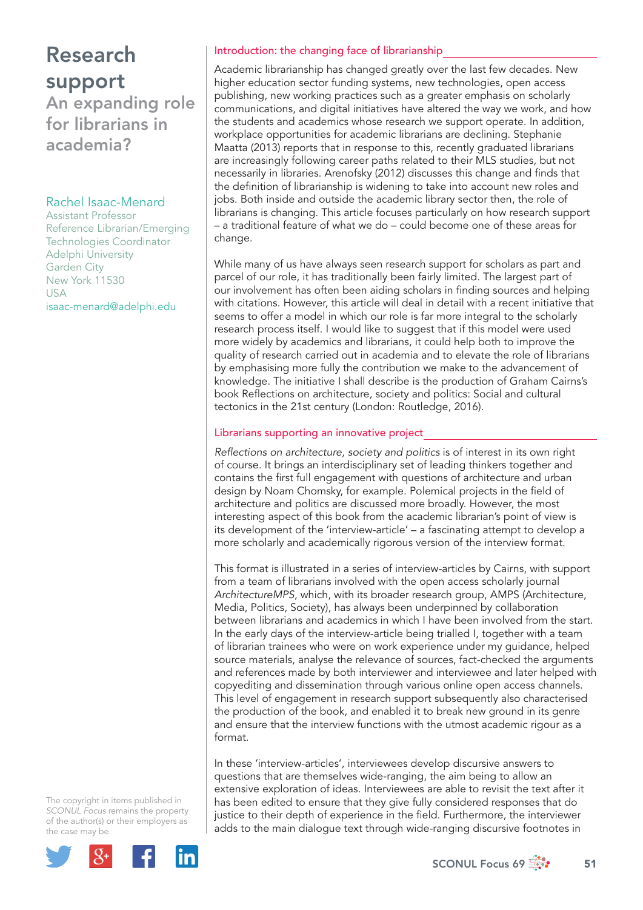# Research support

An expanding role for librarians in academia?

## Rachel Isaac-Menard

Assistant Professor Reference Librarian/Emerging Technologies Coordinator Adelphi University Garden City New York 11530 USA isaac-menard@adelphi.edu

### Introduction: the changing face of librarianship

Academic librarianship has changed greatly over the last few decades. New higher education sector funding systems, new technologies, open access publishing, new working practices such as a greater emphasis on scholarly communications, and digital initiatives have altered the way we work, and how the students and academics whose research we support operate. In addition, workplace opportunities for academic librarians are declining. Stephanie Maatta (2013) reports that in response to this, recently graduated librarians are increasingly following career paths related to their MLS studies, but not necessarily in libraries. Arenofsky (2012) discusses this change and finds that the definition of librarianship is widening to take into account new roles and jobs. Both inside and outside the academic library sector then, the role of librarians is changing. This article focuses particularly on how research support – a traditional feature of what we do – could become one of these areas for change.

While many of us have always seen research support for scholars as part and parcel of our role, it has traditionally been fairly limited. The largest part of our involvement has often been aiding scholars in finding sources and helping with citations. However, this article will deal in detail with a recent initiative that seems to offer a model in which our role is far more integral to the scholarly research process itself. I would like to suggest that if this model were used more widely by academics and librarians, it could help both to improve the quality of research carried out in academia and to elevate the role of librarians by emphasising more fully the contribution we make to the advancement of knowledge. The initiative I shall describe is the production of Graham Cairns's book Reflections on architecture, society and politics: Social and cultural tectonics in the 21st century (London: Routledge, 2016).

## Librarians supporting an innovative project

*Refl ections on architecture, society and politics* is of interest in its own right of course. It brings an interdisciplinary set of leading thinkers together and contains the first full engagement with questions of architecture and urban design by Noam Chomsky, for example. Polemical projects in the field of architecture and politics are discussed more broadly. However, the most interesting aspect of this book from the academic librarian's point of view is its development of the 'interview-article' – a fascinating attempt to develop a more scholarly and academically rigorous version of the interview format.

This format is illustrated in a series of interview-articles by Cairns, with support from a team of librarians involved with the open access scholarly journal *ArchitectureMPS*, which, with its broader research group, AMPS (Architecture, Media, Politics, Society), has always been underpinned by collaboration between librarians and academics in which I have been involved from the start. In the early days of the interview-article being trialled I, together with a team of librarian trainees who were on work experience under my guidance, helped source materials, analyse the relevance of sources, fact-checked the arguments and references made by both interviewer and interviewee and later helped with copyediting and dissemination through various online open access channels. This level of engagement in research support subsequently also characterised the production of the book, and enabled it to break new ground in its genre and ensure that the interview functions with the utmost academic rigour as a format.

In these 'interview-articles', interviewees develop discursive answers to questions that are themselves wide-ranging, the aim being to allow an extensive exploration of ideas. Interviewees are able to revisit the text after it has been edited to ensure that they give fully considered responses that do justice to their depth of experience in the field. Furthermore, the interviewer adds to the main dialogue text through wide-ranging discursive footnotes in

The copyright in items published in *SCONUL Focus* remains the property of the author(s) or their employers as the case may be.